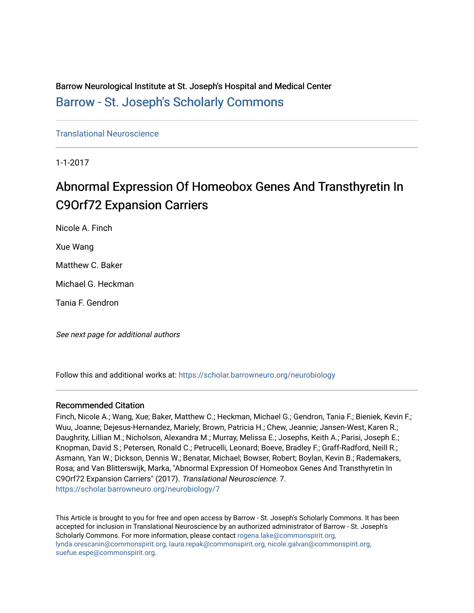Barrow Neurological Institute at St. Joseph's Hospital and Medical Center [Barrow - St. Joseph's Scholarly Commons](https://scholar.barrowneuro.org/) 

[Translational Neuroscience](https://scholar.barrowneuro.org/neurobiology)

1-1-2017

## Abnormal Expression Of Homeobox Genes And Transthyretin In C9Orf72 Expansion Carriers

Nicole A. Finch Xue Wang Matthew C. Baker Michael G. Heckman

Tania F. Gendron

See next page for additional authors

Follow this and additional works at: [https://scholar.barrowneuro.org/neurobiology](https://scholar.barrowneuro.org/neurobiology?utm_source=scholar.barrowneuro.org%2Fneurobiology%2F7&utm_medium=PDF&utm_campaign=PDFCoverPages)

### Recommended Citation

Finch, Nicole A.; Wang, Xue; Baker, Matthew C.; Heckman, Michael G.; Gendron, Tania F.; Bieniek, Kevin F.; Wuu, Joanne; Dejesus-Hernandez, Mariely; Brown, Patricia H.; Chew, Jeannie; Jansen-West, Karen R.; Daughrity, Lillian M.; Nicholson, Alexandra M.; Murray, Melissa E.; Josephs, Keith A.; Parisi, Joseph E.; Knopman, David S.; Petersen, Ronald C.; Petrucelli, Leonard; Boeve, Bradley F.; Graff-Radford, Neill R.; Asmann, Yan W.; Dickson, Dennis W.; Benatar, Michael; Bowser, Robert; Boylan, Kevin B.; Rademakers, Rosa; and Van Blitterswijk, Marka, "Abnormal Expression Of Homeobox Genes And Transthyretin In C9Orf72 Expansion Carriers" (2017). Translational Neuroscience. 7. [https://scholar.barrowneuro.org/neurobiology/7](https://scholar.barrowneuro.org/neurobiology/7?utm_source=scholar.barrowneuro.org%2Fneurobiology%2F7&utm_medium=PDF&utm_campaign=PDFCoverPages)

This Article is brought to you for free and open access by Barrow - St. Joseph's Scholarly Commons. It has been accepted for inclusion in Translational Neuroscience by an authorized administrator of Barrow - St. Joseph's Scholarly Commons. For more information, please contact [rogena.lake@commonspirit.org,](mailto:rogena.lake@commonspirit.org,%20lynda.orescanin@commonspirit.org,%20laura.repak@commonspirit.org,%20nicole.galvan@commonspirit.org,%20suefue.espe@commonspirit.org) [lynda.orescanin@commonspirit.org, laura.repak@commonspirit.org, nicole.galvan@commonspirit.org,](mailto:rogena.lake@commonspirit.org,%20lynda.orescanin@commonspirit.org,%20laura.repak@commonspirit.org,%20nicole.galvan@commonspirit.org,%20suefue.espe@commonspirit.org)  [suefue.espe@commonspirit.org](mailto:rogena.lake@commonspirit.org,%20lynda.orescanin@commonspirit.org,%20laura.repak@commonspirit.org,%20nicole.galvan@commonspirit.org,%20suefue.espe@commonspirit.org).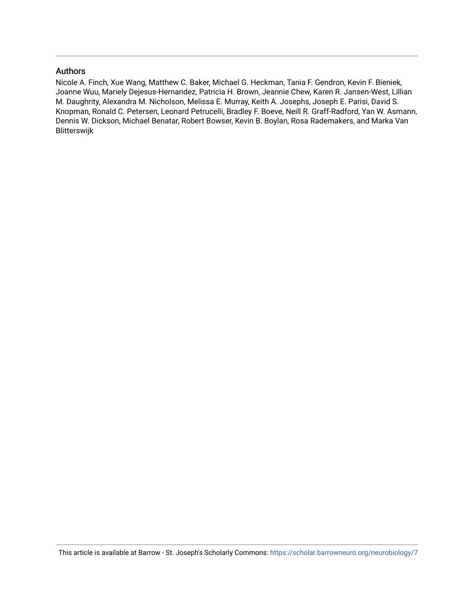### Authors

Nicole A. Finch, Xue Wang, Matthew C. Baker, Michael G. Heckman, Tania F. Gendron, Kevin F. Bieniek, Joanne Wuu, Mariely Dejesus-Hernandez, Patricia H. Brown, Jeannie Chew, Karen R. Jansen-West, Lillian M. Daughrity, Alexandra M. Nicholson, Melissa E. Murray, Keith A. Josephs, Joseph E. Parisi, David S. Knopman, Ronald C. Petersen, Leonard Petrucelli, Bradley F. Boeve, Neill R. Graff-Radford, Yan W. Asmann, Dennis W. Dickson, Michael Benatar, Robert Bowser, Kevin B. Boylan, Rosa Rademakers, and Marka Van Blitterswijk

This article is available at Barrow - St. Joseph's Scholarly Commons: <https://scholar.barrowneuro.org/neurobiology/7>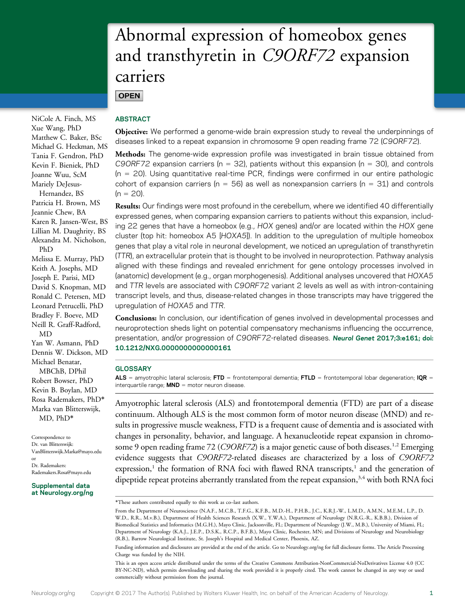# Abnormal expression of homeobox genes and transthyretin in C9ORF72 expansion carriers

**OPEN** 

NiCole A. Finch, MS Xue Wang, PhD Matthew C. Baker, BSc Michael G. Heckman, MS Tania F. Gendron, PhD Kevin F. Bieniek, PhD Joanne Wuu, ScM Mariely DeJesus-Hernandez, BS Patricia H. Brown, MS Jeannie Chew, BA Karen R. Jansen-West, BS Lillian M. Daughrity, BS Alexandra M. Nicholson, PhD Melissa E. Murray, PhD Keith A. Josephs, MD Joseph E. Parisi, MD David S. Knopman, MD Ronald C. Petersen, MD Leonard Petrucelli, PhD Bradley F. Boeve, MD Neill R. Graff-Radford, MD Yan W. Asmann, PhD Dennis W. Dickson, MD Michael Benatar, MBChB, DPhil Robert Bowser, PhD Kevin B. Boylan, MD Rosa Rademakers, PhD\* Marka van Blitterswijk, MD, PhD\*

Correspondence to Dr. van Blitterswijk: [VanBlitterswijk.Marka@mayo.edu](mailto:VanBlitterswijk.Marka@mayo.edu) or Dr. Rademakers: [Rademakers.Rosa@mayo.edu](mailto:Rademakers.Rosa@mayo.edu)

### Supplemental data at [Neurology.org/ng](http://ng.neurology.org/lookup/doi/10.1212/NXG.0000000000000161)

### ABSTRACT

Objective: We performed a genome-wide brain expression study to reveal the underpinnings of diseases linked to a repeat expansion in chromosome 9 open reading frame 72 (C9ORF72).

Methods: The genome-wide expression profile was investigated in brain tissue obtained from C9ORF72 expansion carriers (n = 32), patients without this expansion (n = 30), and controls  $(n = 20)$ . Using quantitative real-time PCR, findings were confirmed in our entire pathologic cohort of expansion carriers ( $n = 56$ ) as well as nonexpansion carriers ( $n = 31$ ) and controls  $(n = 20)$ .

Results: Our findings were most profound in the cerebellum, where we identified 40 differentially expressed genes, when comparing expansion carriers to patients without this expansion, including 22 genes that have a homeobox (e.g., HOX genes) and/or are located within the HOX gene cluster (top hit: homeobox A5 [HOXA5]). In addition to the upregulation of multiple homeobox genes that play a vital role in neuronal development, we noticed an upregulation of transthyretin (TTR), an extracellular protein that is thought to be involved in neuroprotection. Pathway analysis aligned with these findings and revealed enrichment for gene ontology processes involved in (anatomic) development (e.g., organ morphogenesis). Additional analyses uncovered that HOXA5 and TTR levels are associated with C9ORF72 variant 2 levels as well as with intron-containing transcript levels, and thus, disease-related changes in those transcripts may have triggered the upregulation of HOXA5 and TTR.

Conclusions: In conclusion, our identification of genes involved in developmental processes and neuroprotection sheds light on potential compensatory mechanisms influencing the occurrence, presentation, and/or progression of C9ORF72-related diseases. Neurol Genet 2017;3:e161; doi: 10.1212/NXG.0000000000000161

### **GLOSSARY**

ALS = amyotrophic lateral sclerosis; FTD = frontotemporal dementia; FTLD = frontotemporal lobar degeneration; IQR =  $interquartile range; MND = motor neuron disease.$ 

Amyotrophic lateral sclerosis (ALS) and frontotemporal dementia (FTD) are part of a disease continuum. Although ALS is the most common form of motor neuron disease (MND) and results in progressive muscle weakness, FTD is a frequent cause of dementia and is associated with changes in personality, behavior, and language. A hexanucleotide repeat expansion in chromosome 9 open reading frame 72 (C9ORF72) is a major genetic cause of both diseases.<sup>1,2</sup> Emerging evidence suggests that C9ORF72-related diseases are characterized by a loss of C9ORF72 expression, $1$  the formation of RNA foci with flawed RNA transcripts, $1$  and the generation of dipeptide repeat proteins aberrantly translated from the repeat expansion,<sup>3,4</sup> with both RNA foci

<sup>\*</sup>These authors contributed equally to this work as co–last authors.

From the Department of Neuroscience (N.A.F., M.C.B., T.F.G., K.F.B., M.D.-H., P.H.B., J.C., K.R.J.-W., L.M.D., A.M.N., M.E.M., L.P., D. W.D., R.R., M.v.B.), Department of Health Sciences Research (X.W., Y.W.A.), Department of Neurology (N.R.G.-R., K.B.B.), Division of Biomedical Statistics and Informatics (M.G.H.), Mayo Clinic, Jacksonville, FL; Department of Neurology (J.W., M.B.), University of Miami, FL; Department of Neurology (K.A.J., J.E.P., D.S.K., R.C.P., B.F.B.), Mayo Clinic, Rochester, MN; and Divisions of Neurology and Neurobiology (R.B.), Barrow Neurological Institute, St. Joseph's Hospital and Medical Center, Phoenix, AZ.

Funding information and disclosures are provided at the end of the article. Go to [Neurology.org/ng](http://ng.neurology.org/lookup/doi/10.1212/NXG.0000000000000161) for full disclosure forms. The Article Processing Charge was funded by the NIH.

This is an open access article distributed under the terms of the [Creative Commons Attribution-NonCommercial-NoDerivatives License 4.0 \(CC](http://creativecommons.org/licenses/by-nc-nd/4.0/) [BY-NC-ND\)](http://creativecommons.org/licenses/by-nc-nd/4.0/), which permits downloading and sharing the work provided it is properly cited. The work cannot be changed in any way or used commercially without permission from the journal.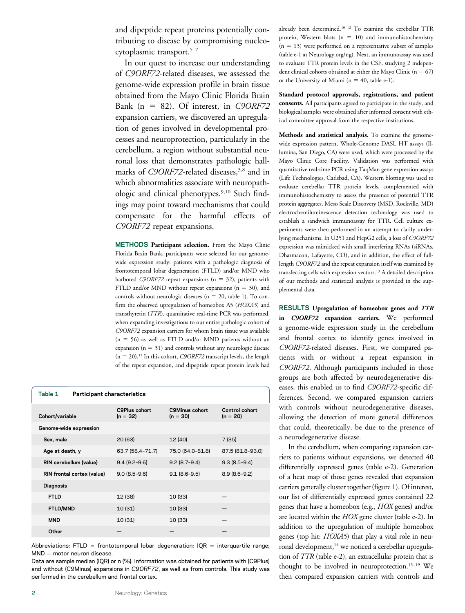and dipeptide repeat proteins potentially contributing to disease by compromising nucleocytoplasmic transport.<sup>5-7</sup>

In our quest to increase our understanding of C9ORF72-related diseases, we assessed the genome-wide expression profile in brain tissue obtained from the Mayo Clinic Florida Brain Bank (n = 82). Of interest, in  $C9ORF72$ expansion carriers, we discovered an upregulation of genes involved in developmental processes and neuroprotection, particularly in the cerebellum, a region without substantial neuronal loss that demonstrates pathologic hallmarks of C9ORF72-related diseases,<sup>3,8</sup> and in which abnormalities associate with neuropathologic and clinical phenotypes.<sup>9,10</sup> Such findings may point toward mechanisms that could compensate for the harmful effects of C9ORF72 repeat expansions.

METHODS Participant selection. From the Mayo Clinic Florida Brain Bank, participants were selected for our genomewide expression study: patients with a pathologic diagnosis of frontotemporal lobar degeneration (FTLD) and/or MND who harbored C9ORF72 repeat expansions ( $n = 32$ ), patients with FTLD and/or MND without repeat expansions  $(n = 30)$ , and controls without neurologic diseases ( $n = 20$ , table 1). To confirm the observed upregulation of homeobox A5 (HOXA5) and transthyretin (TTR), quantitative real-time PCR was performed, when expanding investigations to our entire pathologic cohort of C9ORF72 expansion carriers for whom brain tissue was available  $(n = 56)$  as well as FTLD and/or MND patients without an expansion  $(n = 31)$  and controls without any neurologic disease  $(n = 20).<sup>11</sup>$  In this cohort, *C9ORF72* transcript levels, the length of the repeat expansion, and dipeptide repeat protein levels had

| Table 1<br><b>Participant characteristics</b> |                                  |                                     |                              |  |  |  |
|-----------------------------------------------|----------------------------------|-------------------------------------|------------------------------|--|--|--|
| Cohort/variable                               | <b>C9Plus cohort</b><br>(n = 32) | <b>C9Minus cohort</b><br>$(n = 30)$ | Control cohort<br>$(n = 20)$ |  |  |  |
| Genome-wide expression                        |                                  |                                     |                              |  |  |  |
| Sex, male                                     | 20 (63)                          | 12 (40)                             | 7(35)                        |  |  |  |
| Age at death, y                               | 63.7 (58.4-71.7)                 | 75.0 (64.0-81.8)                    | 87.5 (81.8-93.0)             |  |  |  |
| RIN cerebellum (value)                        | $9.4(9.2 - 9.6)$                 | $9.2(8.7-9.4)$                      | $9.3(8.5-9.4)$               |  |  |  |
| RIN frontal cortex (value)                    | $9.0(8.5-9.6)$                   | $9.1 (8.6 - 9.5)$                   | $8.9(8.6 - 9.2)$             |  |  |  |
| <b>Diagnosis</b>                              |                                  |                                     |                              |  |  |  |
| <b>FTLD</b>                                   | 12 (38)                          | 10 (33)                             |                              |  |  |  |
| FTLD/MND                                      | 10 (31)                          | 10 (33)                             |                              |  |  |  |
| <b>MND</b>                                    | 10 (31)                          | 10 (33)                             |                              |  |  |  |
| Other                                         |                                  |                                     |                              |  |  |  |

Abbreviations: FTLD = frontotemporal lobar degeneration; IQR = interquartile range;  $MND = motor$  neuron disease.

Data are sample median (IQR) or n (%). Information was obtained for patients with (C9Plus) and without (C9Minus) expansions in C9ORF72, as well as from controls. This study was performed in the cerebellum and frontal cortex.

already been determined.10–<sup>12</sup> To examine the cerebellar TTR protein, Western blots  $(n = 10)$  and immunohistochemistry  $(n = 13)$  were performed on a representative subset of samples (table e-1 at [Neurology.org/ng](http://ng.neurology.org/lookup/doi/10.1212/NXG.0000000000000161)). Next, an immunoassay was used to evaluate TTR protein levels in the CSF, studying 2 independent clinical cohorts obtained at either the Mayo Clinic ( $n = 67$ ) or the University of Miami ( $n = 40$ , table e-1).

Standard protocol approvals, registrations, and patient consents. All participants agreed to participate in the study, and biological samples were obtained after informed consent with ethical committee approval from the respective institutions.

Methods and statistical analysis. To examine the genomewide expression pattern, Whole-Genome DASL HT assays (Illumina, San Diego, CA) were used, which were processed by the Mayo Clinic Core Facility. Validation was performed with quantitative real-time PCR using TaqMan gene expression assays (Life Technologies, Carlsbad, CA). Western blotting was used to evaluate cerebellar TTR protein levels, complemented with immunohistochemistry to assess the presence of potential TTR protein aggregates. Meso Scale Discovery (MSD, Rockville, MD) electrochemiluminescence detection technology was used to establish a sandwich immunoassay for TTR. Cell culture experiments were then performed in an attempt to clarify underlying mechanisms. In U251 and HepG2 cells, a loss of C9ORF72 expression was mimicked with small interfering RNAs (siRNAs, Dharmacon, Lafayette, CO), and in addition, the effect of fulllength C9ORF72 and the repeat expansion itself was examined by transfecting cells with expression vectors.13 A detailed description of our methods and statistical analysis is provided in the supplemental data.

RESULTS Upregulation of homeobox genes and TTR

in C9ORF72 expansion carriers. We performed a genome-wide expression study in the cerebellum and frontal cortex to identify genes involved in C9ORF72-related diseases. First, we compared patients with or without a repeat expansion in C9ORF72. Although participants included in those groups are both affected by neurodegenerative diseases, this enabled us to find C9ORF72-specific differences. Second, we compared expansion carriers with controls without neurodegenerative diseases, allowing the detection of more general differences that could, theoretically, be due to the presence of a neurodegenerative disease.

In the cerebellum, when comparing expansion carriers to patients without expansions, we detected 40 differentially expressed genes (table e-2). Generation of a heat map of those genes revealed that expansion carriers generally cluster together (figure 1). Of interest, our list of differentially expressed genes contained 22 genes that have a homeobox (e.g., HOX genes) and/or are located within the HOX gene cluster (table e-2). In addition to the upregulation of multiple homeobox genes (top hit: HOXA5) that play a vital role in neuronal development,<sup>14</sup> we noticed a cerebellar upregulation of TTR (table e-2), an extracellular protein that is thought to be involved in neuroprotection.<sup>15-19</sup> We then compared expansion carriers with controls and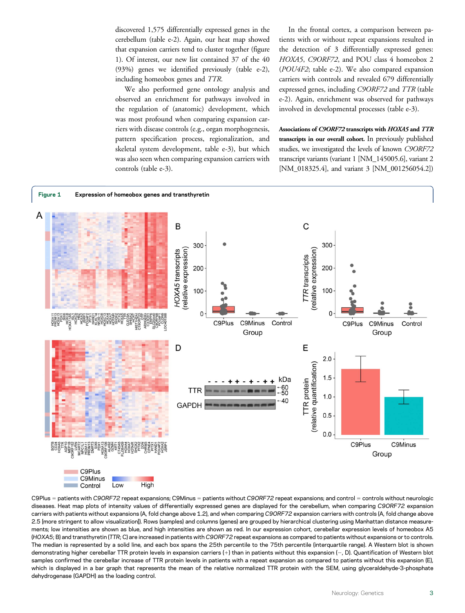discovered 1,575 differentially expressed genes in the cerebellum (table e-2). Again, our heat map showed that expansion carriers tend to cluster together (figure 1). Of interest, our new list contained 37 of the 40 (93%) genes we identified previously (table e-2), including homeobox genes and TTR.

We also performed gene ontology analysis and observed an enrichment for pathways involved in the regulation of (anatomic) development, which was most profound when comparing expansion carriers with disease controls (e.g., organ morphogenesis, pattern specification process, regionalization, and skeletal system development, table e-3), but which was also seen when comparing expansion carriers with controls (table e-3).

In the frontal cortex, a comparison between patients with or without repeat expansions resulted in the detection of 3 differentially expressed genes: HOXA5, C9ORF72, and POU class 4 homeobox 2 (POU4F2; table e-2). We also compared expansion carriers with controls and revealed 679 differentially expressed genes, including C9ORF72 and TTR (table e-2). Again, enrichment was observed for pathways involved in developmental processes (table e-3).

Associations of C9ORF72 transcripts with HOXA5 and TTR transcripts in our overall cohort. In previously published studies, we investigated the levels of known C9ORF72 transcript variants (variant 1 [NM\_145005.6], variant 2 [NM\_018325.4], and variant 3 [NM\_001256054.2])



C9Plus = patients with C9ORF72 repeat expansions; C9Minus = patients without C9ORF72 repeat expansions; and control = controls without neurologic diseases. Heat map plots of intensity values of differentially expressed genes are displayed for the cerebellum, when comparing C9ORF72 expansion carriers with patients without expansions (A, fold change above 1.2), and when comparing C9ORF72 expansion carriers with controls (A, fold change above 2.5 [more stringent to allow visualization]). Rows (samples) and columns (genes) are grouped by hierarchical clustering using Manhattan distance measurements; low intensities are shown as blue, and high intensities are shown as red. In our expression cohort, cerebellar expression levels of homeobox A5 (HOXA5; B) and transthyretin (TTR; C) are increased in patients with C9ORF72 repeat expansions as compared to patients without expansions or to controls. The median is represented by a solid line, and each box spans the 25th percentile to the 75th percentile (interquartile range). A Western blot is shown demonstrating higher cerebellar TTR protein levels in expansion carriers (+) than in patients without this expansion (-, D). Quantification of Western blot samples confirmed the cerebellar increase of TTR protein levels in patients with a repeat expansion as compared to patients without this expansion (E), which is displayed in a bar graph that represents the mean of the relative normalized TTR protein with the SEM, using glyceraldehyde-3-phosphate dehydrogenase (GAPDH) as the loading control.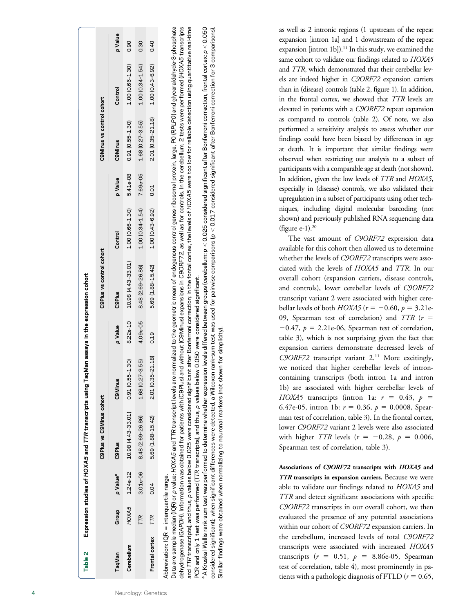| Table 2        |                                                         |                      | Expression studies of HOXA5 and TTR transcripts using TaqMan assays in the expression cohort |                     |          |                          |                     |          |                           |                     |         |
|----------------|---------------------------------------------------------|----------------------|----------------------------------------------------------------------------------------------|---------------------|----------|--------------------------|---------------------|----------|---------------------------|---------------------|---------|
|                |                                                         |                      | C9Plus vs C9Minus cohort                                                                     |                     |          | C9Plus vs control cohort |                     |          | C9Minus vs control cohort |                     |         |
| TaqMan         | Group                                                   | p Value <sup>a</sup> | <b>C9Plus</b>                                                                                | C9Minus             | p Value  | <b>C9Plus</b>            | Control             | p Value  | C9Minus                   | Control             | p Value |
| Cerebellum     | HOXA5                                                   | 1.24e-12             | 10.98 (4.43-33.01)                                                                           | $0.91(0.55 - 1.30)$ | 8.22e-10 | 10.98 (4.43-33.01)       | 1.00 (0.66-1.30)    | 5.41e-08 | $0.91(0.55 - 1.30)$       | 1.00 (0.66-1.30)    | 0.90    |
|                | ΓR                                                      | 3.01e-06             | 848 (2.69-26.86)                                                                             | 1.68 (0.27-3.55)    | 4.09e-05 | 8.48 (2.69-26.86)        | $1.00(0.34 - 1.54)$ | 7.69e-05 | 1.68 (0.27-3.55)          | $1.00(0.34 - 1.54)$ | 0.30    |
| Frontal cortex | TR                                                      | 0.04                 | 5.69 (1.88-15.42)                                                                            | 2.01 (0.35-21.18)   | 0.19     | 5.69 (1.88-15.42)        | 1.00 (0.43-6.92)    | 0.01     | 2.01 (0.35-21.18)         | 1.00 (0.43-6.92)    | 0.40    |
|                | $\text{obreviation: IQR} = \text{interquartile range}.$ |                      |                                                                                              |                     |          |                          |                     |          |                           |                     |         |

Data are sample median (IQR) or p value; HOXA5 and TTR transcript levels are normalized to the geometric mean of endogenous control genes ribosomal protein, large, PO (RPLPO) and glyceraldehyde-3-phosphate dehydrogenase (GAPDH). Information was obtained for patients with (C9Plus) and without (C9Minus) expansions in C9ORF72, as well as for controls. In the cerebellum, 2 tests were performed (HOXA5 transcripts and TTR transcripts), and thus, p values below 0.025 were considered significant after Bonferroni correction; in the fontal cortex, the levels of HOXA5 were too low for reliable detection using quantitative real-time Data are sample median (IQR) or p value; HOXA5 and TTR transcript levels are normalized to the geometric mean of endogenous control genes ribosomal protein, large, P0 (RPLP0) and glyceraldehyde-3-phosphate dehydrogenase (GAPDH). Information was obtained for patients with (C9Plus) and without (C9Minus) expansions in C9ORF72, as well as for controls. In the cerebellum, 2 tests were performed (HOXA5 transcripts and TTR transcripts), and thus, p values below 0.025 were considered significant after Bonferroni correction; in the fontal cortex, the levels of HOXA5 were too low for reliable detection using quantitative real-time PCR and only 1 test was performed (TTR transcripts), and thus, p values below 0.050 were considered significant. PCR and only 1 test was performed (TTR transcripts), and thus, p values below 0.050 were considered significant.

A Kruskal-Wallis rank-sum test was performed to determine whether expression levels differed between groups (cerebellum: p < 0.025 considered significant after Bonferroni correction, frontal cortex: p < 0.050 A Kruskal-Wallis rank-sum test was performed to determine whether expression levels differed between groups (cerebellum: p , 0.025 considered significant after Bonferroni correction, frontal cortex: p , 0.050 considered significant); when significant differences were detected, a Wilcoxon rank-sum test was used for pairwise comparisons (p < 0.017 considered significant after Bonferroni correction for 3 comparisons). considered significant); when significant differences were detected, a Wilcoxon rank-sum test was used for pairwise comparisons (p  $<$  0.017 considered significant after Bonferroni correction for 3 comparisons). Similar findings were obtained when normalizing to neuronal markers (not shown for simplicity). Similar findings were obtained when normalizing to neuronal markers (not shown for simplicity). as well as 2 intronic regions (1 upstream of the repeat expansion [intron 1a] and 1 downstream of the repeat expansion [intron 1b]).<sup>11</sup> In this study, we examined the same cohort to validate our findings related to HOXA5 and TTR, which demonstrated that their cerebellar levels are indeed higher in C9ORF72 expansion carriers than in (disease) controls (table 2, figure 1). In addition, in the frontal cortex, we showed that TTR levels are elevated in patients with a C9ORF72 repeat expansion as compared to controls (table 2). Of note, we also performed a sensitivity analysis to assess whether our findings could have been biased by differences in age at death. It is important that similar findings were observed when restricting our analysis to a subset of participants with a comparable age at death (not shown). In addition, given the low levels of TTR and HOXA5, especially in (disease) controls, we also validated their upregulation in a subset of participants using other techniques, including digital molecular barcoding (not shown) and previously published RNA sequencing data (figure e-1). $^{20}$ 

The vast amount of C9ORF72 expression data available for this cohort then allowed us to determine whether the levels of C9ORF72 transcripts were associated with the levels of HOXA5 and TTR. In our overall cohort (expansion carriers, disease controls, and controls), lower cerebellar levels of C9ORF72 transcript variant 2 were associated with higher cerebellar levels of both  $HOXA5$  ( $r = -0.60$ ,  $p = 3.21e-$ 09, Spearman test of correlation) and  $TTR$  ( $r =$  $-0.47$ ,  $p = 2.21e-06$ , Spearman test of correlation, table 3), which is not surprising given the fact that expansion carriers demonstrate decreased levels of C9ORF72 transcript variant 2.<sup>11</sup> More excitingly, we noticed that higher cerebellar levels of introncontaining transcripts (both intron 1a and intron 1b) are associated with higher cerebellar levels of HOXA5 transcripts (intron 1a:  $r = 0.43$ ,  $p =$ 6.47e-05, intron 1b:  $r = 0.36$ ,  $p = 0.0008$ , Spearman test of correlation, table 3). In the frontal cortex, lower C9ORF72 variant 2 levels were also associated with higher TTR levels ( $r = -0.28$ ,  $p = 0.006$ , Spearman test of correlation, table 3).

Associations of C9ORF72 transcripts with HOXA5 and TTR transcripts in expansion carriers. Because we were able to validate our findings related to HOXA5 and TTR and detect significant associations with specific C9ORF72 transcripts in our overall cohort, we then evaluated the presence of any potential associations within our cohort of C9ORF72 expansion carriers. In the cerebellum, increased levels of total C9ORF72 transcripts were associated with increased HOXA5 transcripts ( $r = 0.51$ ,  $p = 8.86e-05$ , Spearman test of correlation, table 4), most prominently in patients with a pathologic diagnosis of FTLD ( $r = 0.65$ ,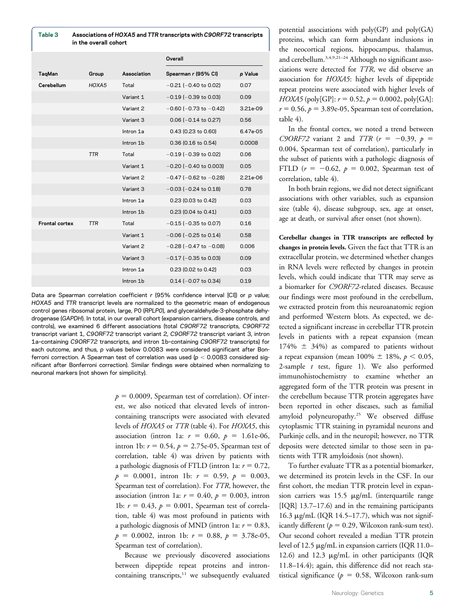| Table 3               | in the overall cohort | Associations of HOXA5 and TTR transcripts with C90RF72 transcripts |                                |          |
|-----------------------|-----------------------|--------------------------------------------------------------------|--------------------------------|----------|
|                       |                       |                                                                    | Overall                        |          |
| TaqMan                | Group                 | Association                                                        | Spearman r (95% CI)            | p Value  |
| Cerebellum            | HOXA5                 | Total                                                              | $-0.21$ ( $-0.40$ to 0.02)     | 0.07     |
|                       |                       | Variant 1                                                          | $-0.19$ ( $-0.39$ to 0.03)     | 0.09     |
|                       |                       | Variant 2                                                          | $-0.60$ ( $-0.73$ to $-0.42$ ) | 3.21e-09 |
|                       |                       | Variant 3                                                          | $0.06$ (-0.14 to 0.27)         | 0.56     |
|                       |                       | Intron 1a                                                          | 0.43 (0.23 to 0.60)            | 6.47e-05 |
|                       |                       | Intron 1b                                                          | 0.36 (0.16 to 0.54)            | 0.0008   |
|                       | <b>TTR</b>            | Total                                                              | $-0.19$ ( $-0.39$ to 0.02)     | 0.06     |
|                       |                       | Variant 1                                                          | $-0.20$ ( $-0.40$ to 0.003)    | 0.05     |
|                       |                       | Variant 2                                                          | $-0.47$ (-0.62 to $-0.28$ )    | 2.21e-06 |
|                       |                       | Variant 3                                                          | $-0.03$ ( $-0.24$ to 0.18)     | 0.78     |
|                       |                       | Intron 1a                                                          | 0.23 (0.03 to 0.42)            | 0.03     |
|                       |                       | Intron 1b                                                          | 0.23 (0.04 to 0.41)            | 0.03     |
| <b>Frontal cortex</b> | TTR                   | Total                                                              | $-0.15$ ( $-0.35$ to 0.07)     | 0.16     |
|                       |                       | Variant 1                                                          | $-0.06$ ( $-0.25$ to 0.14)     | 0.58     |
|                       |                       | Variant 2                                                          | $-0.28$ ( $-0.47$ to $-0.08$ ) | 0.006    |
|                       |                       | Variant 3                                                          | $-0.17$ ( $-0.35$ to 0.03)     | 0.09     |
|                       |                       | Intron 1a                                                          | 0.23 (0.02 to 0.42)            | 0.03     |
|                       |                       | Intron 1b                                                          | $0.14$ (-0.07 to 0.34)         | 0.19     |

Data are Spearman correlation coefficient r (95% confidence interval [CI]) or p value; HOXA5 and TTR transcript levels are normalized to the geometric mean of endogenous control genes ribosomal protein, large, P0 (RPLP0), and glyceraldehyde-3-phosphate dehydrogenase (GAPDH). In total, in our overall cohort (expansion carriers, disease controls, and controls), we examined 6 different associations (total C9ORF72 transcripts, C9ORF72 transcript variant 1, C9ORF72 transcript variant 2, C9ORF72 transcript variant 3, intron 1a–containing C9ORF72 transcripts, and intron 1b–containing C9ORF72 transcripts) for each outcome, and thus, p values below 0.0083 were considered significant after Bonferroni correction. A Spearman test of correlation was used ( $p < 0.0083$  considered significant after Bonferroni correction). Similar findings were obtained when normalizing to neuronal markers (not shown for simplicity).

 $p = 0.0009$ , Spearman test of correlation). Of interest, we also noticed that elevated levels of introncontaining transcripts were associated with elevated levels of HOXA5 or TTR (table 4). For HOXA5, this association (intron 1a:  $r = 0.60, p = 1.61e-06$ , intron 1b:  $r = 0.54$ ,  $p = 2.75e-05$ , Spearman test of correlation, table 4) was driven by patients with a pathologic diagnosis of FTLD (intron 1a:  $r = 0.72$ ,  $p = 0.0001$ , intron 1b:  $r = 0.59$ ,  $p = 0.003$ , Spearman test of correlation). For TTR, however, the association (intron 1a:  $r = 0.40$ ,  $p = 0.003$ , intron 1b:  $r = 0.43$ ,  $p = 0.001$ , Spearman test of correlation, table 4) was most profound in patients with a pathologic diagnosis of MND (intron 1a:  $r = 0.83$ ,  $p = 0.0002$ , intron 1b:  $r = 0.88$ ,  $p = 3.78e-05$ , Spearman test of correlation).

Because we previously discovered associations between dipeptide repeat proteins and introncontaining transcripts, $11$  we subsequently evaluated potential associations with poly(GP) and poly(GA) proteins, which can form abundant inclusions in the neocortical regions, hippocampus, thalamus, and cerebellum.3,4,9,21–<sup>24</sup> Although no significant associations were detected for TTR, we did observe an association for HOXA5: higher levels of dipeptide repeat proteins were associated with higher levels of  $HOXA5$  (poly[GP]:  $r = 0.52$ ,  $p = 0.0002$ , poly[GA]:  $r = 0.56$ ,  $p = 3.89e-05$ , Spearman test of correlation, table 4).

In the frontal cortex, we noted a trend between C9ORF72 variant 2 and TTR  $(r = -0.39, p =$ 0.004, Spearman test of correlation), particularly in the subset of patients with a pathologic diagnosis of FTLD ( $r = -0.62$ ,  $p = 0.002$ , Spearman test of correlation, table 4).

In both brain regions, we did not detect significant associations with other variables, such as expansion size (table 4), disease subgroup, sex, age at onset, age at death, or survival after onset (not shown).

Cerebellar changes in TTR transcripts are reflected by changes in protein levels. Given the fact that TTR is an extracellular protein, we determined whether changes in RNA levels were reflected by changes in protein levels, which could indicate that TTR may serve as a biomarker for C9ORF72-related diseases. Because our findings were most profound in the cerebellum, we extracted protein from this neuroanatomic region and performed Western blots. As expected, we detected a significant increase in cerebellar TTR protein levels in patients with a repeat expansion (mean  $174\% \pm 34\%$  as compared to patients without a repeat expansion (mean  $100\% \pm 18\%$ ,  $p < 0.05$ , 2-sample  $t$  test, figure 1). We also performed immunohistochemistry to examine whether an aggregated form of the TTR protein was present in the cerebellum because TTR protein aggregates have been reported in other diseases, such as familial amyloid polyneuropathy.<sup>25</sup> We observed diffuse cytoplasmic TTR staining in pyramidal neurons and Purkinje cells, and in the neuropil; however, no TTR deposits were detected similar to those seen in patients with TTR amyloidosis (not shown).

To further evaluate TTR as a potential biomarker, we determined its protein levels in the CSF. In our first cohort, the median TTR protein level in expansion carriers was  $15.5 \mu g/mL$  (interquartile range [IQR] 13.7–17.6) and in the remaining participants 16.3  $\mu$ g/mL (IQR 14.5–17.7), which was not significantly different ( $p = 0.29$ , Wilcoxon rank-sum test). Our second cohort revealed a median TTR protein level of 12.5 μg/mL in expansion carriers (IQR 11.0– 12.6) and 12.3  $\mu$ g/mL in other participants (IQR 11.8–14.4); again, this difference did not reach statistical significance ( $p = 0.58$ , Wilcoxon rank-sum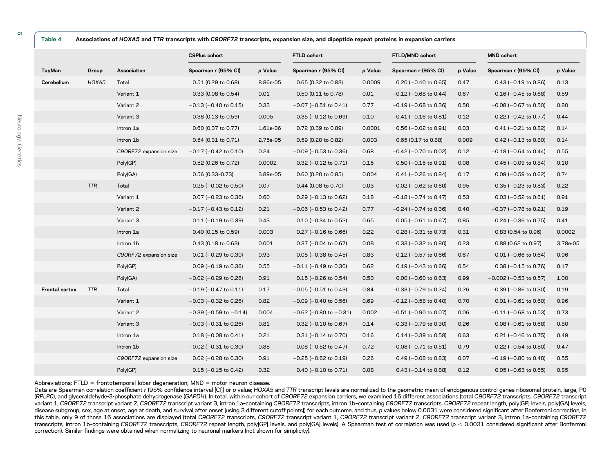| Table 4        | Associations of HOXA5 and TTR transcripts with C9ORF72 transcripts, expansion size, and dipeptide repeat proteins in expansion carriers |                        |                                |          |                                |         |                            |         |                             |          |
|----------------|-----------------------------------------------------------------------------------------------------------------------------------------|------------------------|--------------------------------|----------|--------------------------------|---------|----------------------------|---------|-----------------------------|----------|
|                |                                                                                                                                         |                        | C9Plus cohort                  |          | FTLD cohort                    |         | FTLD/MND cohort            |         | <b>MND</b> cohort           |          |
| TaqMan         | Group                                                                                                                                   | Association            | Spearman r (95% CI)            | p Value  | Spearman r (95% CI)            | p Value | Spearman r (95% CI)        | p Value | Spearman r (95% CI)         | p Value  |
| Cerebellum     | HOXA5                                                                                                                                   | Total                  | 0.51 (0.29 to 0.68)            | 8.86e-05 | 0.65 (0.32 to 0.83)            | 0.0009  | $0.20$ (-0.40 to 0.65)     | 0.47    | $0.43$ (-0.19 to 0.86)      | 0.13     |
|                |                                                                                                                                         | Variant 1              | 0.33 (0.08 to 0.54)            | 0.01     | 0.50 (0.11 to 0.78)            | 0.01    | $-0.12$ ( $-0.68$ to 0.44) | 0.67    | $0.16$ (-0.45 to 0.68)      | 0.59     |
|                |                                                                                                                                         | Variant 2              | $-0.13$ ( $-0.40$ to 0.15)     | 0.33     | $-0.07$ ( $-0.51$ to 0.41)     | 0.77    | $-0.19$ ( $-0.68$ to 0.36) | 0.50    | $-0.08$ ( $-0.67$ to 0.50)  | 0.80     |
|                |                                                                                                                                         | Variant 3              | 0.38 (0.13 to 0.59)            | 0.005    | $0.35$ (-0.12 to 0.69)         | 0.10    | $0.41$ (-0.16 to 0.81)     | 0.12    | $0.22$ (-0.42 to 0.77)      | 0.44     |
|                |                                                                                                                                         | Intron 1a              | 0.60 (0.37 to 0.77)            | 1.61e-06 | 0.72 (0.39 to 0.89)            | 0.0001  | $0.56$ (-0.02 to 0.91)     | 0.03    | $0.41$ (-0.21 to 0.82)      | 0.14     |
|                |                                                                                                                                         | Intron 1b              | 0.54 (0.31 to 0.71)            | 2.75e-05 | 0.59 (0.20 to 0.82)            | 0.003   | 0.65 (0.17 to 0.88)        | 0.009   | $0.42$ (-0.13 to 0.80)      | 0.14     |
|                |                                                                                                                                         | C9ORF72 expansion size | $-0.17$ ( $-0.42$ to 0.10)     | 0.24     | $-0.09$ ( $-0.53$ to 0.36)     | 0.68    | $-0.42$ ( $-0.70$ to 0.02) | 0.12    | $-0.18$ ( $-0.64$ to 0.44)  | 0.55     |
|                |                                                                                                                                         | Poly(GP)               | 0.52 (0.26 to 0.72)            | 0.0002   | $0.32$ (-0.12 to 0.71)         | 0.15    | $0.50$ (-0.15 to 0.91)     | 0.08    | $0.45$ (-0.09 to 0.84)      | 0.10     |
|                |                                                                                                                                         | Poly(GA)               | $0.56(0.33 - 0.73)$            | 3.89e-05 | 0.60 (0.20 to 0.85)            | 0.004   | $0.41$ (-0.26 to 0.84)     | 0.17    | $0.09$ (-0.59 to 0.62)      | 0.74     |
|                | <b>TTR</b>                                                                                                                              | Total                  | $0.25$ (-0.02 to 0.50)         | 0.07     | 0.44 (0.08 to 0.70)            | 0.03    | $-0.02$ ( $-0.62$ to 0.60) | 0.95    | $0.35$ (-0.23 to 0.83)      | 0.22     |
|                |                                                                                                                                         | Variant 1              | $0.07$ (-0.23 to 0.36)         | 0.60     | $0.29$ (-0.13 to 0.62)         | 0.18    | $-0.18$ ( $-0.74$ to 0.47) | 0.53    | $0.03$ (-0.52 to 0.61)      | 0.91     |
|                |                                                                                                                                         | Variant 2              | $-0.17$ ( $-0.43$ to 0.12)     | 0.21     | $-0.06$ ( $-0.53$ to 0.42)     | 0.77    | $-0.24$ ( $-0.74$ to 0.36) | 0.40    | $-0.37$ ( $-0.78$ to 0.21)  | 0.19     |
|                |                                                                                                                                         | Variant 3              | $0.11$ (-0.19 to 0.39)         | 0.43     | $0.10$ (-0.34 to 0.52)         | 0.65    | $0.05$ (-0.61 to 0.67)     | 0.85    | $0.24$ (-0.36 to 0.75)      | 0.41     |
|                |                                                                                                                                         | Intron 1a              | 0.40 (0.15 to 0.59)            | 0.003    | $0.27$ (-0.16 to 0.66)         | 0.22    | $0.28$ (-0.31 to 0.73)     | 0.31    | 0.83 (0.54 to 0.96)         | 0.0002   |
|                |                                                                                                                                         | Intron 1b              | 0.43 (0.18 to 0.63)            | 0.001    | $0.37$ (-0.04 to 0.67)         | 0.08    | $0.33$ (-0.32 to 0.80)     | 0.23    | 0.88 (0.62 to 0.97)         | 3.78e-05 |
|                |                                                                                                                                         | C9ORF72 expansion size | $0.01$ (-0.29 to 0.30)         | 0.93     | $0.05$ (-0.38 to 0.45)         | 0.83    | $0.12$ (-0.57 to 0.66)     | 0.67    | $0.01$ (-0.66 to 0.64)      | 0.96     |
|                |                                                                                                                                         | Poly(GP)               | $0.09$ (-0.19 to 0.36)         | 0.55     | $-0.11$ ( $-0.49$ to 0.30)     | 0.62    | $0.19$ (-0.43 to 0.66)     | 0.54    | $0.38$ (-0.15 to 0.76)      | 0.17     |
|                |                                                                                                                                         | Poly(GA)               | $-0.02$ ( $-0.29$ to 0.26)     | 0.91     | $0.15$ (-0.26 to 0.54)         | 0.50    | $0.00$ (-0.60 to 0.63)     | 0.99    | $-0.002$ ( $-0.53$ to 0.57) | 1.00     |
| Frontal cortex | <b>TTR</b>                                                                                                                              | Total                  | $-0.19$ (-0.47 to 0.11)        | 0.17     | $-0.05$ ( $-0.51$ to 0.43)     | 0.84    | $-0.33$ ( $-0.79$ to 0.24) | 0.26    | $-0.39$ ( $-0.86$ to 0.30)  | 0.19     |
|                |                                                                                                                                         | Variant 1              | $-0.03$ ( $-0.32$ to 0.26)     | 0.82     | $-0.09$ ( $-0.40$ to 0.56)     | 0.69    | $-0.12$ ( $-0.58$ to 0.40) | 0.70    | $0.01$ (-0.61 to 0.60)      | 0.96     |
|                |                                                                                                                                         | Variant 2              | $-0.39$ ( $-0.59$ to $-0.14$ ) | 0.004    | $-0.62$ ( $-0.80$ to $-0.31$ ) | 0.002   | $-0.51$ ( $-0.90$ to 0.07) | 0.06    | $-0.11$ ( $-0.68$ to 0.53)  | 0.73     |
|                |                                                                                                                                         | Variant 3              | $-0.03$ ( $-0.31$ to 0.26)     | 0.81     | $0.32$ (-0.10 to 0.67)         | 0.14    | $-0.33$ ( $-0.79$ to 0.30) | 0.26    | $0.08$ (-0.61 to 0.68)      | 0.80     |
|                |                                                                                                                                         | Intron 1a              | $0.18$ (-0.08 to 0.41)         | 0.21     | $0.31$ (-0.14 to 0.70)         | 0.16    | $0.14$ (-0.39 to 0.58)     | 0.63    | $0.21$ (-0.46 to 0.75)      | 0.49     |
|                |                                                                                                                                         | Intron 1b              | $-0.02$ ( $-0.31$ to 0.30)     | 0.88     | $-0.08$ ( $-0.52$ to 0.47)     | 0.72    | $-0.08$ ( $-0.71$ to 0.51) | 0.79    | $0.22$ (-0.54 to 0.80)      | 0.47     |
|                |                                                                                                                                         | C9ORF72 expansion size | $0.02$ (-0.28 to 0.30)         | 0.91     | $-0.25$ ( $-0.62$ to 0.19)     | 0.26    | $0.49$ (-0.08 to 0.83)     | 0.07    | $-0.19$ ( $-0.80$ to 0.48)  | 0.55     |
|                |                                                                                                                                         | Poly(GP)               | $0.15$ (-0.15 to 0.42)         | 0.32     | $0.40$ (-0.10 to 0.71)         | 0.08    | $0.43$ (-0.14 to 0.88)     | 0.12    | $0.05$ (-0.63 to 0.65)      | 0.85     |

Abbreviations: FTLD = frontotemporal lobar degeneration; MND = motor neuron disease.

Data are Spearman correlation coefficient r (95% confidence interval [CI]) or p value; HOXA5 and TTR transcript levels are normalized to the geometric mean of endogenous control genes ribosomal protein, large, PO (RPLP0), and glyceraldehyde-3-phosphate dehydrogenase (GAPDH). In total, within our cohort of C9ORF72 expansion carriers, we examined 16 different associations (total C9ORF72 transcripts, C9ORF72 transcript variant 1, C9ORF72 transcript variant 2, C9ORF72 transcript variant 3, intron 1a-containing C9ORF72 transcripts, intron 1b-containing C9ORF72 transcripts, C9ORF72 transcripts, C9ORF72 repeat length, poly[GP] levels, poly[G disease subgroup, sex, age at onset, age at death, and survival after onset [using 3 different cutoff points]) for each outcome, and thus, p values below 0.0031 were considered significant after Bonferroni correction; in this table, only 9 of those 16 associations are displayed (total C9ORF72 transcripts, C9ORF72 transcript variant 1, C9ORF72 transcript variant 2, C9ORF72 transcript variant 3, intron 1a-containing C9ORF72 transcripts, intron 1b-containing C9ORF72 transcripts, C9ORF72 repeat length, poly[GP] levels, and poly[GA] levels). A Spearman test of correlation was used (p < 0.0031 considered significant after Bonferroni correction). Similar findings were obtained when normalizing to neuronal markers (not shown for simplicity).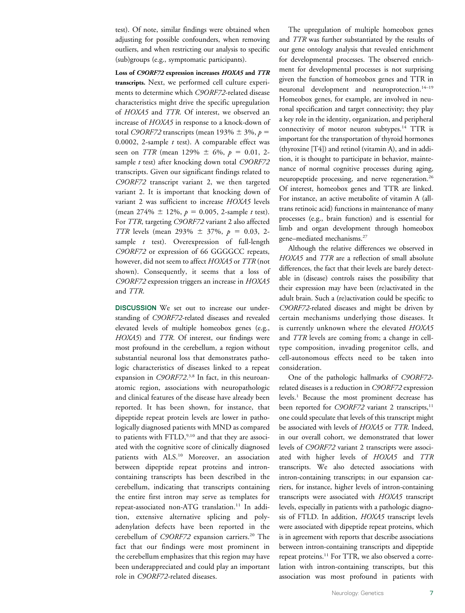test). Of note, similar findings were obtained when adjusting for possible confounders, when removing outliers, and when restricting our analysis to specific (sub)groups (e.g., symptomatic participants).

Loss of C9ORF72 expression increases HOXA5 and TTR transcripts. Next, we performed cell culture experiments to determine which C9ORF72-related disease characteristics might drive the specific upregulation of HOXA5 and TTR. Of interest, we observed an increase of HOXA5 in response to a knock-down of total C9ORF72 transcripts (mean 193%  $\pm$  3%, p = 0.0002, 2-sample  $t$  test). A comparable effect was seen on *TTR* (mean 129%  $\pm$  6%,  $p = 0.01, 2$ sample  $t$  test) after knocking down total  $C9ORF72$ transcripts. Given our significant findings related to C9ORF72 transcript variant 2, we then targeted variant 2. It is important that knocking down of variant 2 was sufficient to increase HOXA5 levels (mean  $274\% \pm 12\%$ ,  $p = 0.005$ , 2-sample t test). For TTR, targeting C9ORF72 variant 2 also affected TTR levels (mean 293%  $\pm$  37%,  $p = 0.03$ , 2sample *t* test). Overexpression of full-length C9ORF72 or expression of 66 GGGGCC repeats, however, did not seem to affect HOXA5 or TTR (not shown). Consequently, it seems that a loss of C9ORF72 expression triggers an increase in HOXA5 and TTR.

DISCUSSION We set out to increase our understanding of C9ORF72-related diseases and revealed elevated levels of multiple homeobox genes (e.g., HOXA5) and TTR. Of interest, our findings were most profound in the cerebellum, a region without substantial neuronal loss that demonstrates pathologic characteristics of diseases linked to a repeat expansion in C9ORF72.<sup>3,8</sup> In fact, in this neuroanatomic region, associations with neuropathologic and clinical features of the disease have already been reported. It has been shown, for instance, that dipeptide repeat protein levels are lower in pathologically diagnosed patients with MND as compared to patients with FTLD,<sup>9,10</sup> and that they are associated with the cognitive score of clinically diagnosed patients with ALS.<sup>10</sup> Moreover, an association between dipeptide repeat proteins and introncontaining transcripts has been described in the cerebellum, indicating that transcripts containing the entire first intron may serve as templates for repeat-associated non-ATG translation.<sup>11</sup> In addition, extensive alternative splicing and polyadenylation defects have been reported in the cerebellum of C9ORF72 expansion carriers.<sup>20</sup> The fact that our findings were most prominent in the cerebellum emphasizes that this region may have been underappreciated and could play an important role in C9ORF72-related diseases.

The upregulation of multiple homeobox genes and TTR was further substantiated by the results of our gene ontology analysis that revealed enrichment for developmental processes. The observed enrichment for developmental processes is not surprising given the function of homeobox genes and TTR in neuronal development and neuroprotection.<sup>14-19</sup> Homeobox genes, for example, are involved in neuronal specification and target connectivity; they play a key role in the identity, organization, and peripheral connectivity of motor neuron subtypes.<sup>14</sup> TTR is important for the transportation of thyroid hormones (thyroxine [T4]) and retinol (vitamin A), and in addition, it is thought to participate in behavior, maintenance of normal cognitive processes during aging, neuropeptide processing, and nerve regeneration.<sup>26</sup> Of interest, homeobox genes and TTR are linked. For instance, an active metabolite of vitamin A (alltrans retinoic acid) functions in maintenance of many processes (e.g., brain function) and is essential for limb and organ development through homeobox gene–mediated mechanisms.27

Although the relative differences we observed in HOXA5 and TTR are a reflection of small absolute differences, the fact that their levels are barely detectable in (disease) controls raises the possibility that their expression may have been (re)activated in the adult brain. Such a (re)activation could be specific to C9ORF72-related diseases and might be driven by certain mechanisms underlying those diseases. It is currently unknown where the elevated HOXA5 and TTR levels are coming from; a change in celltype composition, invading progenitor cells, and cell-autonomous effects need to be taken into consideration.

One of the pathologic hallmarks of C9ORF72 related diseases is a reduction in C9ORF72 expression levels.1 Because the most prominent decrease has been reported for C9ORF72 variant 2 transcripts,<sup>11</sup> one could speculate that levels of this transcript might be associated with levels of HOXA5 or TTR. Indeed, in our overall cohort, we demonstrated that lower levels of C9ORF72 variant 2 transcripts were associated with higher levels of HOXA5 and TTR transcripts. We also detected associations with intron-containing transcripts; in our expansion carriers, for instance, higher levels of intron-containing transcripts were associated with HOXA5 transcript levels, especially in patients with a pathologic diagnosis of FTLD. In addition, HOXA5 transcript levels were associated with dipeptide repeat proteins, which is in agreement with reports that describe associations between intron-containing transcripts and dipeptide repeat proteins.<sup>11</sup> For TTR, we also observed a correlation with intron-containing transcripts, but this association was most profound in patients with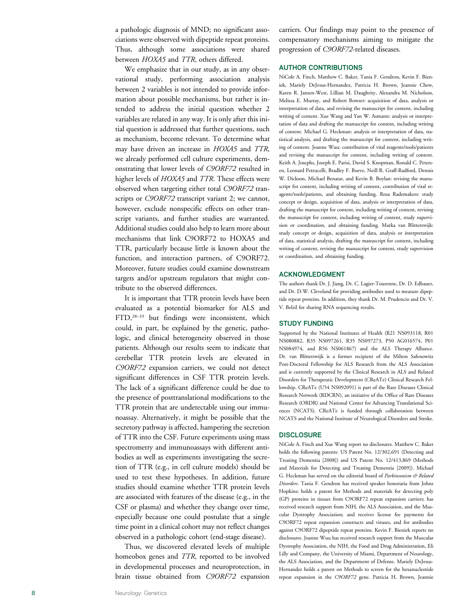a pathologic diagnosis of MND; no significant associations were observed with dipeptide repeat proteins. Thus, although some associations were shared between HOXA5 and TTR, others differed.

We emphasize that in our study, as in any observational study, performing association analysis between 2 variables is not intended to provide information about possible mechanisms, but rather is intended to address the initial question whether 2 variables are related in any way. It is only after this initial question is addressed that further questions, such as mechanism, become relevant. To determine what may have driven an increase in HOXA5 and TTR , we already performed cell culture experiments, demonstrating that lower levels of C9ORF72 resulted in higher levels of HOXA5 and TTR. These effects were observed when targeting either total C9ORF72 transcripts or C9ORF72 transcript variant 2; we cannot, however, exclude nonspecific effects on other transcript variants, and further studies are warranted. Additional studies could also help to learn more about mechanisms that link C9ORF72 to HOXA5 and TTR, particularly because little is known about the function, and interaction partners, of C9ORF72. Moreover, future studies could examine downstream targets and/or upstream regulators that might contribute to the observed differences.

It is important that TTR protein levels have been evaluated as a potential biomarker for ALS and FTD,<sup>28-33</sup> but findings were inconsistent, which could, in part, be explained by the genetic, pathologic, and clinical heterogeneity observed in those patients. Although our results seem to indicate that cerebellar TTR protein levels are elevated in C9ORF72 expansion carriers, we could not detect significant differences in CSF TTR protein levels. The lack of a significant difference could be due to the presence of posttranslational modifications to the TTR protein that are undetectable using our immunoassay. Alternatively, it might be possible that the secretory pathway is affected, hampering the secretion of TTR into the CSF. Future experiments using mass spectrometry and immunoassays with different antibodies as well as experiments investigating the secretion of TTR (e.g., in cell culture models) should be used to test these hypotheses. In addition, future studies should examine whether TTR protein levels are associated with features of the disease (e.g., in the CSF or plasma) and whether they change over time, especially because one could postulate that a single time point in a clinical cohort may not reflect changes observed in a pathologic cohort (end-stage disease).

Thus, we discovered elevated levels of multiple homeobox genes and TTR, reported to be involved in developmental processes and neuroprotection, in brain tissue obtained from C9ORF72 expansion carriers. Our findings may point to the presence of compensatory mechanisms aiming to mitigate the progression of C9ORF72-related diseases.

### AUTHOR CONTRIBUTIONS

NiCole A. Finch, Matthew C. Baker, Tania F. Gendron, Kevin F. Bieniek, Mariely DeJesus-Hernandez, Patricia H. Brown, Jeannie Chew, Karen R. Jansen-West, Lillian M. Daughrity, Alexandra M. Nicholson, Melissa E. Murray, and Robert Bowser: acquisition of data, analysis or interpretation of data, and revising the manuscript for content, including writing of content. Xue Wang and Yan W. Asmann: analysis or interpretation of data and drafting the manuscript for content, including writing of content. Michael G. Heckman: analysis or interpretation of data, statistical analysis, and drafting the manuscript for content, including writing of content. Joanne Wuu: contribution of vital reagents/tools/patients and revising the manuscript for content, including writing of content. Keith A. Josephs, Joseph E. Parisi, David S. Knopman, Ronald C. Petersen, Leonard Petrucelli, Bradley F. Boeve, Neill R. Graff-Radford, Dennis W. Dickson, Michael Benatar, and Kevin B. Boylan: revising the manuscript for content, including writing of content, contribution of vital reagents/tools/patients, and obtaining funding. Rosa Rademakers: study concept or design, acquisition of data, analysis or interpretation of data, drafting the manuscript for content, including writing of content, revising the manuscript for content, including writing of content, study supervision or coordination, and obtaining funding. Marka van Blitterswijk: study concept or design, acquisition of data, analysis or interpretation of data, statistical analysis, drafting the manuscript for content, including writing of content, revising the manuscript for content, study supervision or coordination, and obtaining funding.

### ACKNOWLEDGMENT

The authors thank Dr. J. Jiang, Dr. C. Lagier-Tourenne, Dr. D. Edbauer, and Dr. D.W. Cleveland for providing antibodies used to measure dipeptide repeat proteins. In addition, they thank Dr. M. Prudencio and Dr. V. V. Belzil for sharing RNA sequencing results.

### STUDY FUNDING

Supported by the National Institutes of Health (R21 NS093118, R01 NS080882, R35 NS097261, R35 NS097273, P50 AG016574, P01 NS084974, and R56 NS061867) and the ALS Therapy Alliance. Dr. van Blitterswijk is a former recipient of the Milton Safenowitz Post-Doctoral Fellowship for ALS Research from the ALS Association and is currently supported by the Clinical Research in ALS and Related Disorders for Therapeutic Development (CReATe) Clinical Research Fellowship. CReATe (U54 NS092091) is part of the Rare Diseases Clinical Research Network (RDCRN), an initiative of the Office of Rare Diseases Research (ORDR) and National Center for Advancing Translational Sciences (NCATS). CReATe is funded through collaboration between NCATS and the National Institute of Neurological Disorders and Stroke.

### **DISCLOSURE**

NiCole A. Finch and Xue Wang report no disclosures. Matthew C. Baker holds the following patents: US Patent No. 12/302,691 (Detecting and Treating Dementia [2008]) and US Patent No. 12/413,869 (Methods and Materials for Detecting and Treating Dementia [2009]). Michael G. Heckman has served on the editorial board of Parkinsonism & Related Disorders. Tania F. Gendron has received speaker honoraria from Johns Hopkins; holds a patent for Methods and materials for detecting poly (GP) proteins in tissues from C9ORF72 repeat expansion carriers; has received research support from NIH, the ALS Association, and the Muscular Dystrophy Association; and receives license fee payments for C9ORF72 repeat expansion constructs and viruses, and for antibodies against C9ORF72 dipeptide repeat proteins. Kevin F. Bieniek reports no disclosures. Joanne Wuu has received research support from the Muscular Dystrophy Association, the NIH, the Food and Drug Administration, Eli Lilly and Company, the University of Miami, Department of Neurology, the ALS Association, and the Department of Defense. Mariely DeJesus-Hernandez holds a patent on Methods to screen for the hexanucleotide repeat expansion in the C9ORF72 gene. Patricia H. Brown, Jeannie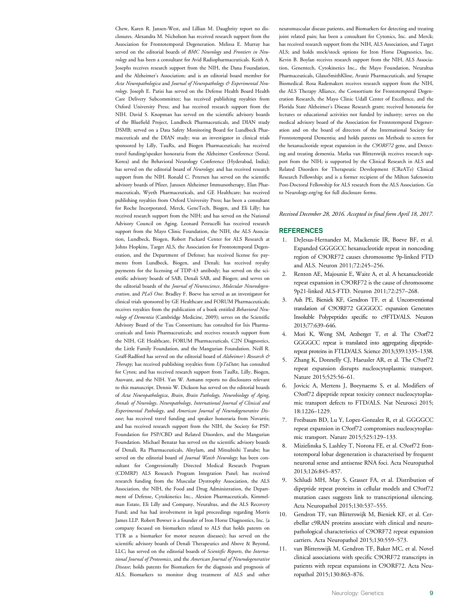Chew, Karen R. Jansen-West, and Lillian M. Daughrity report no disclosures. Alexandra M. Nicholson has received research support from the Association for Frontotemporal Degeneration. Melissa E. Murray has served on the editorial boards of BMC Neurology and Frontiers in Neurology and has been a consultant for Avid Radiopharmaceuticals. Keith A. Josephs receives research support from the NIH, the Dana Foundation, and the Alzheimer's Association; and is an editorial board member for Acta Neuropathologica and Journal of Neuropathology & Experimental Neurology. Joseph E. Parisi has served on the Defense Health Board Health Care Delivery Subcommittee; has received publishing royalties from Oxford University Press; and has received research support from the NIH. David S. Knopman has served on the scientific advisory boards of the Bluefield Project, Lundbeck Pharmaceuticals, and DIAN study DSMB; served on a Data Safety Monitoring Board for Lundbeck Pharmaceuticals and the DIAN study; was an investigator in clinical trials sponsored by Lilly, TauRx, and Biogen Pharmaceuticals; has received travel funding/speaker honoraria from the Alzheimer Conference (Seoul, Korea) and the Behavioral Neurology Conference (Hyderabad, India); has served on the editorial board of Neurology; and has received research support from the NIH. Ronald C. Petersen has served on the scientific advisory boards of Pfizer, Janssen Alzheimer Immunotherapy, Elan Pharmaceuticals, Wyeth Pharmaceuticals, and GE Healthcare; has received publishing royalties from Oxford University Press; has been a consultant for Roche Incorporated, Merck, GeneTech, Biogen, and Eli Lilly; has received research support from the NIH; and has served on the National Advisory Council on Aging. Leonard Petrucelli has received research support from the Mayo Clinic Foundation, the NIH, the ALS Association, Lundbeck, Biogen, Robert Packard Center for ALS Research at Johns Hopkins, Target ALS, the Association for Frontotemporal Degeneration, and the Department of Defense; has received license fee payments from Lundbeck, Biogen, and Denali; has received royalty payments for the licensing of TDP-43 antibody; has served on the scientific advisory boards of SAB, Denali SAB, and Biogen; and serves on the editorial boards of the Journal of Neuroscience, Molecular Neurodegeneration, and PLoS One. Bradley F. Boeve has served as an investigator for clinical trials sponsored by GE Healthcare and FORUM Pharmaceuticals; receives royalties from the publication of a book entitled Behavioral Neurology of Dementia (Cambridge Medicine, 2009); serves on the Scientific Advisory Board of the Tau Consortium; has consulted for Isis Pharmaceuticals and Ionis Pharmaceuticals; and receives research support from the NIH, GE Healthcare, FORUM Pharmaceuticals, C2N Diagnostics, the Little Family Foundation, and the Mangurian Foundation. Neill R. Graff-Radford has served on the editorial board of Alzheimer's Research & Therapy; has received publishing royalties from UpToDate; has consulted for Cytox; and has received research support from TauRx, Lilly, Biogen, Axovant, and the NIH. Yan W. Asmann reports no disclosures relevant to this manuscript. Dennis W. Dickson has served on the editorial boards of Acta Neuropathologica, Brain, Brain Pathology, Neurobiology of Aging, Annals of Neurology, Neuropathology, International Journal of Clinical and Experimental Pathology, and American Journal of Neurodegenerative Disease; has received travel funding and speaker honoraria from Novartis; and has received research support from the NIH, the Society for PSP: Foundation for PSP/CBD and Related Disorders, and the Mangurian Foundation. Michael Benatar has served on the scientific advisory boards of Denali, Ra Pharmaceuticals, Alnylam, and Mitsubishi Tanabe; has served on the editorial board of Journal Watch Neurology; has been consultant for Congressionally Directed Medical Research Program (CDMRP) ALS Research Program Integration Panel; has received research funding from the Muscular Dystrophy Association, the ALS Association, the NIH, the Food and Drug Administration, the Department of Defense, Cytokinetics Inc., Alexion Pharmaceuticals, Kimmelman Estate, Eli Lilly and Company, Neuraltus, and the ALS Recovery Fund; and has had involvement in legal proceedings regarding Morris James LLP. Robert Bowser is a founder of Iron Horse Diagnostics, Inc. (a company focused on biomarkers related to ALS that holds patents on TTR as a biomarker for motor neuron diseases); has served on the scientific advisory boards of Denali Therapeutics and Above & Beyond, LLC; has served on the editorial boards of Scientific Reports, the International Journal of Proteomics, and the American Journal of Neurodegenerative Disease; holds patents for Biomarkers for the diagnosis and prognosis of ALS, Biomarkers to monitor drug treatment of ALS and other

neuromuscular disease patients, and Biomarkers for detecting and treating joint related pain; has been a consultant for Cytonics, Inc. and Merck; has received research support from the NIH, ALS Association, and Target ALS; and holds stock/stock options for Iron Horse Diagnostics, Inc. Kevin B. Boylan receives research support from the NIH, ALS Association, Genentech, Cytokinetics Inc., the Mayo Foundation, Neuraltus Pharmaceuticals, GlaxoSmithKline, Avanir Pharmaceuticals, and Synapse Biomedical. Rosa Rademakers receives research support from the NIH, the ALS Therapy Alliance, the Consortium for Frontotemporal Degeneration Research, the Mayo Clinic Udall Center of Excellence, and the Florida State Alzheimer's Disease Research grant; received honoraria for lectures or educational activities not funded by industry; serves on the medical advisory board of the Association for Frontotemporal Degeneration and on the board of directors of the International Society for Frontotemporal Dementia; and holds patents on Methods to screen for the hexanucleotide repeat expansion in the C9ORF72 gene, and Detecting and treating dementia. Marka van Blitterswijk receives research support from the NIH; is supported by the Clinical Research in ALS and Related Disorders for Therapeutic Development (CReATe) Clinical Research Fellowship; and is a former recipient of the Milton Safenowitz Post-Doctoral Fellowship for ALS research from the ALS Association. Go to [Neurology.org/ng](http://ng.neurology.org/lookup/doi/10.1212/NXG.0000000000000161) for full disclosure forms.

Received December 28, 2016. Accepted in final form April 18, 2017.

### **REFERENCES**

- 1. DeJesus-Hernandez M, Mackenzie IR, Boeve BF, et al. Expanded GGGGCC hexanucleotide repeat in noncoding region of C9ORF72 causes chromosome 9p-linked FTD and ALS. Neuron 2011;72:245–256.
- 2. Renton AE, Majounie E, Waite A, et al. A hexanucleotide repeat expansion in C9ORF72 is the cause of chromosome 9p21-linked ALS-FTD. Neuron 2011;72:257–268.
- 3. Ash PE, Bieniek KF, Gendron TF, et al. Unconventional translation of C9ORF72 GGGGCC expansion Generates Insoluble Polypeptides specific to c9FTD/ALS. Neuron 2013;77:639–646.
- 4. Mori K, Weng SM, Arzberger T, et al. The C9orf72 GGGGCC repeat is translated into aggregating dipeptiderepeat proteins in FTLD/ALS. Science 2013;339:1335–1338.
- 5. Zhang K, Donnelly CJ, Haeusler AR, et al. The C9orf72 repeat expansion disrupts nucleocytoplasmic transport. Nature 2015;525:56–61.
- 6. Jovicic A, Mertens J, Boeynaems S, et al. Modifiers of C9orf72 dipeptide repeat toxicity connect nucleocytoplasmic transport defects to FTD/ALS. Nat Neurosci 2015; 18:1226–1229.
- 7. Freibaum BD, Lu Y, Lopez-Gonzalez R, et al. GGGGCC repeat expansion in C9orf72 compromises nucleocytoplasmic transport. Nature 2015;525:129–133.
- 8. Mizielinska S, Lashley T, Norona FE, et al. C9orf72 frontotemporal lobar degeneration is characterised by frequent neuronal sense and antisense RNA foci. Acta Neuropathol 2013;126:845–857.
- 9. Schludi MH, May S, Grasser FA, et al. Distribution of dipeptide repeat proteins in cellular models and C9orf72 mutation cases suggests link to transcriptional silencing. Acta Neuropathol 2015;130:537–555.
- 10. Gendron TF, van Blitterswijk M, Bieniek KF, et al. Cerebellar c9RAN proteins associate with clinical and neuropathological characteristics of C9ORF72 repeat expansion carriers. Acta Neuropathol 2015;130:559–573.
- 11. van Blitterswijk M, Gendron TF, Baker MC, et al. Novel clinical associations with specific C9ORF72 transcripts in patients with repeat expansions in C9ORF72. Acta Neuropathol 2015;130:863–876.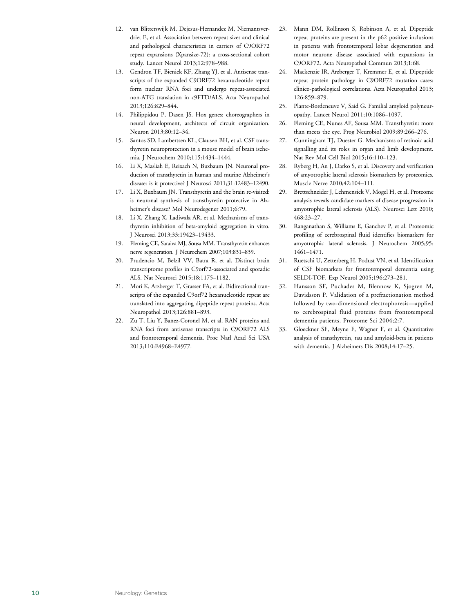- 12. van Blitterswijk M, Dejesus-Hernandez M, Niemantsverdriet E, et al. Association between repeat sizes and clinical and pathological characteristics in carriers of C9ORF72 repeat expansions (Xpansize-72): a cross-sectional cohort study. Lancet Neurol 2013;12:978–988.
- 13. Gendron TF, Bieniek KF, Zhang YJ, et al. Antisense transcripts of the expanded C9ORF72 hexanucleotide repeat form nuclear RNA foci and undergo repeat-associated non-ATG translation in c9FTD/ALS. Acta Neuropathol 2013;126:829–844.
- 14. Philippidou P, Dasen JS. Hox genes: choreographers in neural development, architects of circuit organization. Neuron 2013;80:12–34.
- 15. Santos SD, Lambertsen KL, Clausen BH, et al. CSF transthyretin neuroprotection in a mouse model of brain ischemia. J Neurochem 2010;115:1434–1444.
- 16. Li X, Masliah E, Reixach N, Buxbaum JN. Neuronal production of transthyretin in human and murine Alzheimer's disease: is it protective? J Neurosci 2011;31:12483–12490.
- 17. Li X, Buxbaum JN. Transthyretin and the brain re-visited: is neuronal synthesis of transthyretin protective in Alzheimer's disease? Mol Neurodegener 2011;6:79.
- 18. Li X, Zhang X, Ladiwala AR, et al. Mechanisms of transthyretin inhibition of beta-amyloid aggregation in vitro. J Neurosci 2013;33:19423–19433.
- 19. Fleming CE, Saraiva MJ, Sousa MM. Transthyretin enhances nerve regeneration. J Neurochem 2007;103:831–839.
- 20. Prudencio M, Belzil VV, Batra R, et al. Distinct brain transcriptome profiles in C9orf72-associated and sporadic ALS. Nat Neurosci 2015;18:1175–1182.
- 21. Mori K, Arzberger T, Grasser FA, et al. Bidirectional transcripts of the expanded C9orf72 hexanucleotide repeat are translated into aggregating dipeptide repeat proteins. Acta Neuropathol 2013;126:881–893.
- 22. Zu T, Liu Y, Banez-Coronel M, et al. RAN proteins and RNA foci from antisense transcripts in C9ORF72 ALS and frontotemporal dementia. Proc Natl Acad Sci USA 2013;110:E4968–E4977.
- 23. Mann DM, Rollinson S, Robinson A, et al. Dipeptide repeat proteins are present in the p62 positive inclusions in patients with frontotemporal lobar degeneration and motor neurone disease associated with expansions in C9ORF72. Acta Neuropathol Commun 2013;1:68.
- 24. Mackenzie IR, Arzberger T, Kremmer E, et al. Dipeptide repeat protein pathology in C9ORF72 mutation cases: clinico-pathological correlations. Acta Neuropathol 2013; 126:859–879.
- 25. Plante-Bordeneuve V, Said G. Familial amyloid polyneuropathy. Lancet Neurol 2011;10:1086–1097.
- 26. Fleming CE, Nunes AF, Sousa MM. Transthyretin: more than meets the eye. Prog Neurobiol 2009;89:266–276.
- 27. Cunningham TJ, Duester G. Mechanisms of retinoic acid signalling and its roles in organ and limb development. Nat Rev Mol Cell Biol 2015;16:110–123.
- 28. Ryberg H, An J, Darko S, et al. Discovery and verification of amyotrophic lateral sclerosis biomarkers by proteomics. Muscle Nerve 2010;42:104–111.
- 29. Brettschneider J, Lehmensiek V, Mogel H, et al. Proteome analysis reveals candidate markers of disease progression in amyotrophic lateral sclerosis (ALS). Neurosci Lett 2010; 468:23–27.
- 30. Ranganathan S, Williams E, Ganchev P, et al. Proteomic profiling of cerebrospinal fluid identifies biomarkers for amyotrophic lateral sclerosis. J Neurochem 2005;95: 1461–1471.
- 31. Ruetschi U, Zetterberg H, Podust VN, et al. Identification of CSF biomarkers for frontotemporal dementia using SELDI-TOF. Exp Neurol 2005;196:273–281.
- 32. Hansson SF, Puchades M, Blennow K, Sjogren M, Davidsson P. Validation of a prefractionation method followed by two-dimensional electrophoresis—applied to cerebrospinal fluid proteins from frontotemporal dementia patients. Proteome Sci 2004;2:7.
- 33. Gloeckner SF, Meyne F, Wagner F, et al. Quantitative analysis of transthyretin, tau and amyloid-beta in patients with dementia. J Alzheimers Dis 2008;14:17–25.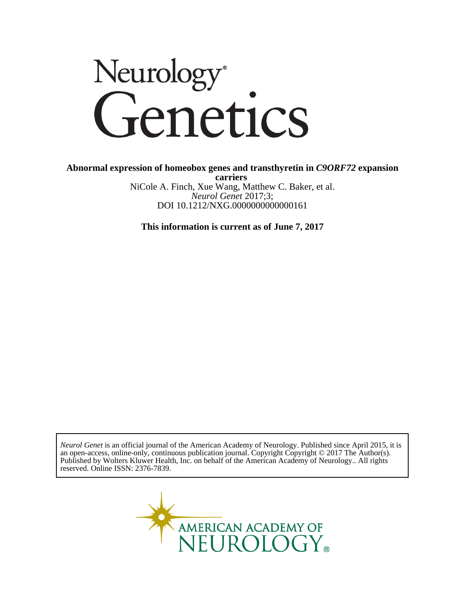# Neurology<sup>®</sup><br>Genetics

DOI 10.1212/NXG.0000000000000161 *Neurol Genet* 2017;3; NiCole A. Finch, Xue Wang, Matthew C. Baker, et al. **carriers Abnormal expression of homeobox genes and transthyretin in** *C9ORF72* **expansion**

**This information is current as of June 7, 2017**

reserved. Online ISSN: 2376-7839. Published by Wolters Kluwer Health, Inc. on behalf of the American Academy of Neurology.. All rights an open-access, online-only, continuous publication journal. Copyright Copyright © 2017 The Author(s). *Neurol Genet* is an official journal of the American Academy of Neurology. Published since April 2015, it is